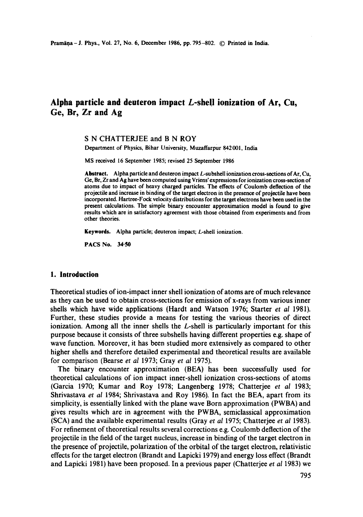# **Alpha particle and deuteron impact L-she!! ionization of Ar, Cu, Ge, Br, Zr and Ag**

# S N CHATTERJEE and B N ROY

Department of Physics, Bihar University, Muzaffarpur 842001, India

MS received 16 September 1985; revised 25 September 1986

Abstract. Alpha particle and deuteron impact  $L$ -subshell ionization cross-sections of Ar, Cu, Ge, **Br, Zr** and Ag have been computed using Vriens' expressions for ionization cross-section of atoms due to impact of heavy charged particles. The effects of Coulomb deflection of the projectile and increase in binding of the target electron in the presence of projectile have been incorporated. Hartree-Fock velocity distributions for the target electrons have been used in the present calculations. The simple binary encounter approximation model is found to give results which are in satisfactory agreement with those obtained from experiments and from other theories.

Keywords. Alpha particle; deuteron impact; L-shell ionization.

PACS No. 34-50

#### **1. Introduction**

Theoretical studies of ion-impact inner shell ionization of atoms are of much relevance as they can be used to obtain cross-sections for emission of x-rays from various inner shells which have wide applications (Hardt and Watson 1976; Starter *et al* 1981). Further, these studies provide a means for testing the various theories of direct ionization. Among all the inner shells the L-shell is particularly important for this purpose because it consists of three subshells having different properties e.g. shape of wave function. Moreover, it has been studied more extensively as compared to other higher shells and therefore detailed experimental and theoretical results are available for comparison (Bearse *et at* 1973; Gray *et al* 1975).

The binary encounter approximation (BEA) has been successfully used for theoretical calculations of ion impact inner-shell ionization cross-sections of atoms (Garcia 1970; Kumar and Roy 1978; Langenberg 1978; Chatterjee *et al* 1983; Shrivastava *et al* 1984; Shrivastava and Roy 1986). In fact the BEA, apart from its simplicity, is essentially linked with the plane wave Born approximation (PWBA) and gives results which are in agreement with the PWBA, semiclassical approximation (SCA) and the available experimental results (Gray *et al* 1975; Chatterjee *et al* 1983). For refinement of theoretical results several corrections e.g. Coulomb deflection of the projectile in the field of the target nucleus, increase in binding of the target electron in the presence of projectile, polarization of the orbital of the target electron, relativistic effects for the target electron (Brandt and Lapicki 1979) and energy loss effect (Brandt and Lapicki 1981) have been proposed. In a previous paper (Chatterjee *et al* 1983) we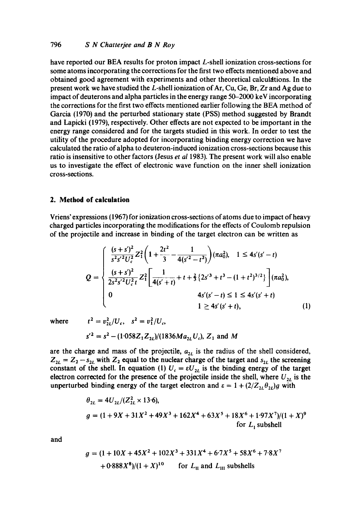have reported our BEA results for proton impact L-shell ionization cross-sections for some atoms incorporating the corrections for the first two effects mentioned above and obtained good agreement with experiments and other theoretical calculations. In the present work we have studied the  $L$ -shell ionization of Ar, Cu, Ge, Br, Zr and Ag due to impact of deuterons and alpha particles in the energy range 50-2000 keV incorporating the corrections for the first two effects mentioned earlier following the BEA method of Garcia (1970) and the perturbed stationary state (PSS) method suggested by Brandt and Lapicki (1979), respectively. Other effects are not expected to be important in the energy range considered and for the targets studied in this work. In order to test the utility of the procedure adopted for incorporating binding energy correction we have calculated the ratio of alpha to deuteron-induced ionization cross-sections because this ratio is insensitive to other factors (Jesus *et al* 1983). The present work will also enable us to investigate the effect of electronic wave function on the inner shell ionization cross-sections.

#### **2. Method of calculation**

Vriens' expressions (1967) for ionization cross-sections of atoms due to impact of heavy charged particles incorporating the modifications for the effects of Coulomb repulsion of the projectile and increase in binding of the target electron can be written as

$$
Q = \begin{cases} \frac{(s+s')^{2}}{s^{2}s'^{2}U_{c}^{2}} Z_{1}^{2} \left(1 + \frac{2t^{2}}{3} - \frac{1}{4(s'^{2} - t^{2})}\right) (\pi a_{0}^{2}), & 1 \leq 4s'(s' - t) \\ \frac{(s+s')^{2}}{2s^{2}s'^{2}U_{c}^{2}t} Z_{1}^{2} \left[\frac{1}{4(s'+t)} + t + \frac{2}{3} \left\{2s'^{3} + t^{3} - (1+t^{2})^{3/2}\right\}\right] (\pi a_{0}^{2}), \\ 0 & 4s'(s'-t) \leq 1 \leq 4s'(s'+t) \\ 1 \geq 4s'(s'+t), \end{cases}
$$
(1)

where  $t^2 = v_{2l}^2/U_c$ ,  $s^2 = v_1^2/U_c$ ,

$$
s'^2 = s^2 - (1.058Z_1Z_{2l})/(1836Ma_{2l}U_c)
$$
, Z<sub>1</sub> and M

are the charge and mass of the projectile,  $a_{2L}$  is the radius of the shell considered,  $Z_{2l} = Z_2 - s_{2l}$  with  $Z_2$  equal to the nuclear charge of the target and  $s_{2l}$  the screening constant of the shell. In equation (1)  $U_c = \varepsilon U_{2L}$  is the binding energy of the target electron corrected for the presence of the projectile inside the shell, where  $U_{2L}$  is the unperturbed binding energy of the target electron and  $\varepsilon = 1 + (2/Z_{2L}\theta_{2L})g$  with

$$
\theta_{2L} = 4U_{2L}/(Z_{2L}^2 \times 13.6),
$$
  
 
$$
g = (1 + 9X + 31X^2 + 49X^3 + 162X^4 + 63X^5 + 18X^6 + 1.97X^7)/(1 + X)^9
$$
  
for  $L_1$  subshell

and

$$
g = (1 + 10X + 45X^{2} + 102X^{3} + 331X^{4} + 6.7X^{5} + 58X^{6} + 7.8X^{7}
$$
  
+ 0.888X<sup>8</sup>)/(1 + X)<sup>10</sup> for L<sub>II</sub> and L<sub>III</sub> subshells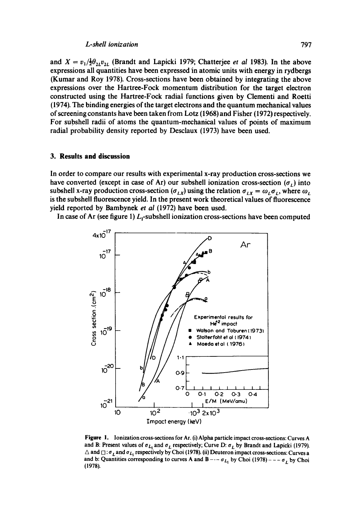#### *L.shell ionization* 797

and  $X = v_1/\frac{1}{2}\theta_{2L}v_{2L}$  (Brandt and Lapicki 1979; Chatterjee *et al* 1983). In the above expressions all quantities have been expressed in atomic units with energy in rydbergs (Kumar and Roy 1978). Cross-sections have been obtained by integrating the above expressions over the Hartree-Fock momentum distribution for the target electron constructed using the Hartree=Fock radial functions given by Clementi and Roetti (1974). The binding energies of the target electrons and the quantum mechanical values of screening constants have been taken from Lotz (1968) and Fisher (1972) respectively. For subshell radii of atoms the quantum-mechanieal values of points of maximum radial probability density reported by Desclaux (1973) have been used.

## **3. Results and discussion**

In order to compare our results with experimental x-ray production cross-sections we have converted (except in case of Ar) our subshell ionization cross-section  $(\sigma_L)$  into subshell x-ray production cross-section  $(\sigma_{LX})$  using the relation  $\sigma_{LX} = \omega_L \sigma_L$ , where  $\omega_L$ is the subshell fluorescence yield. In the present work theoretical values of fluorescence yield reported by Bambynek *et al* (1972) have been used.

In case of Ar (see figure 1)  $L_1$ -subshell ionization cross-sections have been computed



Figure 1. Ionization cross-sections for Ar. (i) Alpha particle impact cross-sections: Curves A and B: Present values of  $\sigma_{L_1}$  and  $\sigma_L$  respectively; Curve D:  $\sigma_L$  by Brandt and Lapicki (1979).  $\Delta$  and  $\Box$ :  $\sigma_L$  and  $\sigma_{L_r}$  respectively by Choi (1978). (ii) Deuteron impact cross-sections: Curves a and b: Quantities corresponding to curves A and B  $- - \sigma_{L_1}$  by Choi (1978)  $- - \sigma_L$  by Choi (1978).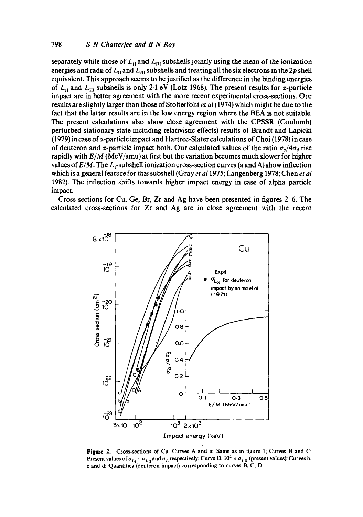separately while those of  $L_{II}$  and  $L_{III}$  subshells jointly using the mean of the ionization energies and radii of  $L_{\rm H}$  and  $L_{\rm H}$  subshells and treating all the six electrons in the 2p shell equivalent. This approach seems to be justified as the difference in the binding energies of  $L_{\text{II}}$  and  $L_{\text{III}}$  subshells is only 2.1 eV (Lotz 1968). The present results for  $\alpha$ -particle impact are in better agreement with the more recent experimental cross-sections. Our results are slightly larger than those of Stolterfoht *et al* (1974) which might be due to the fact that the latter results are in the low energy region where the BEA is not suitable. The present calculations also show close agreement with the CPSSR (Coulomb) perturbed stationary state including relativistic effects) results of Brandt and Lapicki (1979) in case of  $\alpha$ -particle impact and Hartree-Slater calculations of Choi (1978) in case of deuteron and  $\alpha$ -particle impact both. Our calculated values of the ratio  $\sigma_{\alpha}/4\sigma_{d}$  rise rapidly with *E/M* (MeV/amu) at first but the variation becomes much slower for higher values of  $E/M$ . The  $L_1$ -subshell ionization cross-section curves (a and A) show inflection which is a general feature for this subsbell (Gray *et al* 1975; Langenberg 1978; Chen *et al*  1982). The inflection shifts towards higher impact energy in case of alpha particle impact.

Cross-sections for Cu, Ge, Br, Zr and Ag have been presented in figures 2-6. The calculated cross-sections for Zr and Ag are in close agreement with the recent



**Figure** 2. Cross-sections of Cu. Curves A and a: Same as in figure 1; Curves B and C: Present values of  $\sigma_{L_1} + \sigma_{L_H}$  and  $\sigma_L$  respectively; Curve D:  $10^2 \times \sigma_{LX}$  (present values); Curves b, c and d: Quantities (deuteron impact) corresponding to curves B, C, D.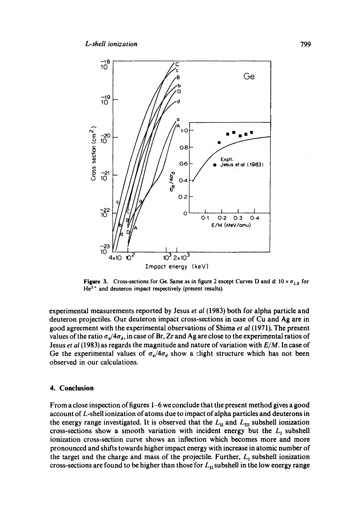

**Figure 3.** Cross-sections for Ge. Same as in figure 2 except Curves D and d:  $10 \times \sigma_{LX}$  for  $He<sup>2+</sup>$  and deuteron impact respectively (present results).

experimental measurements reported by Jesus *et al* (1983) both for alpha particle and deuteron projectiles. Our deuteron impact cross-sections in case of Cu and Ag are in good agreement with the experimental observations of Shima *et al* (1971). The present values of the ratio  $\sigma_x/4\sigma_d$ , in case of Br, Zr and Ag are close to the experimental ratios of Jesus *et al* (1983) as regards the magnitude and nature of variation with *E/M.* In case of Ge the experimental values of  $\sigma_{\alpha}/4\sigma_{d}$  show a clight structure which has not been observed in our calculations.

#### **4. Conclusion**

From a close inspection of figures 1–6 we conclude that the present method gives a good account of L-shell ionization of atoms due to impact of alpha particles and deuterons in the energy range investigated. It is observed that the  $L_{\rm H}$  and  $L_{\rm HI}$  subshell ionization cross-sections show a smooth variation with incident energy but the  $L_1$  subshell ionization cross-section curve shows an inflection which becomes more and more pronounced and shifts towards higher impact energy with increase in atomic number of the target and the charge and mass of the projectile. Further,  $L_1$  subshell ionization cross-sections are found to be higher than those for  $L_{II}$  subshell in the low energy range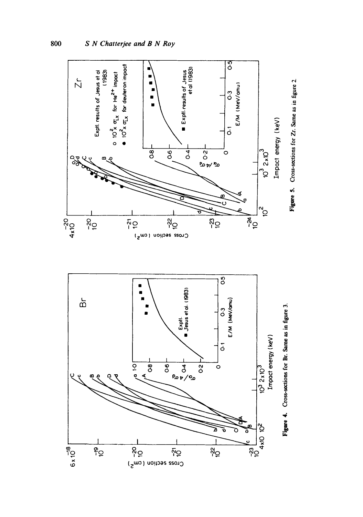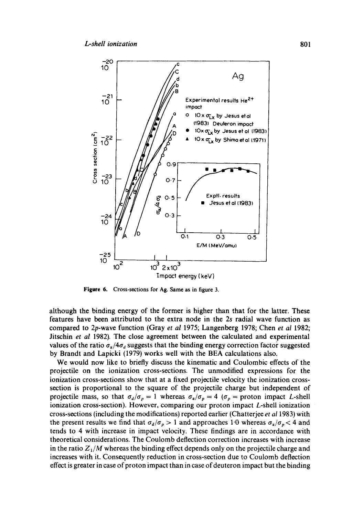

**Figure** 6. Cross-sections for Ag. Same as in figure 3.

although the binding energy of the former is higher than that for the latter. These features have been attributed to the extra node in the 2s radial wave function as compared to 2p-wave function (Gray *et al* 1975; Langenberg 1978; Chen *et al* 1982; Jitschin *et al* 1982). The close agreement between the calculated and experimental values of the ratio  $\sigma_{\alpha}/4\sigma_{d}$  suggests that the binding energy correction factor suggested by Brandt and Lapicki (1979) works well with the BEA calculations also.

We would now like to briefly discuss the kinematic and Coulombic effects of the projectile on the ionization cross-sections. The unmodified expressions for the ionization cross-sections show that at a fixed projectile velocity the ionization crosssection is proportional to the square of the projectile charge but independent of projectile mass, so that  $\sigma_d/\sigma_p = 1$  whereas  $\sigma_a/\sigma_p = 4$  ( $\sigma_p =$  proton impact *L*-shell ionization cross-section). However, comparing our proton impact L-shell ionization cross-sections (including the modifications) reported earlier (Chatterjee *et a11983)* with the present results we find that  $\sigma_d/\sigma_p > 1$  and approaches 1.0 whereas  $\sigma_a/\sigma_p < 4$  and tends to 4 with increase in impact velocity. These findings are in accordance with theoretical considerations. The Coulomb deflection correction increases with increase in the ratio  $Z_1/M$  whereas the binding effect depends only on the projectile charge and increases with it. Consequently reduction in cross-section due to Coulomb deflection effect is greater in case of proton impact than in case of deuteron impact but the binding